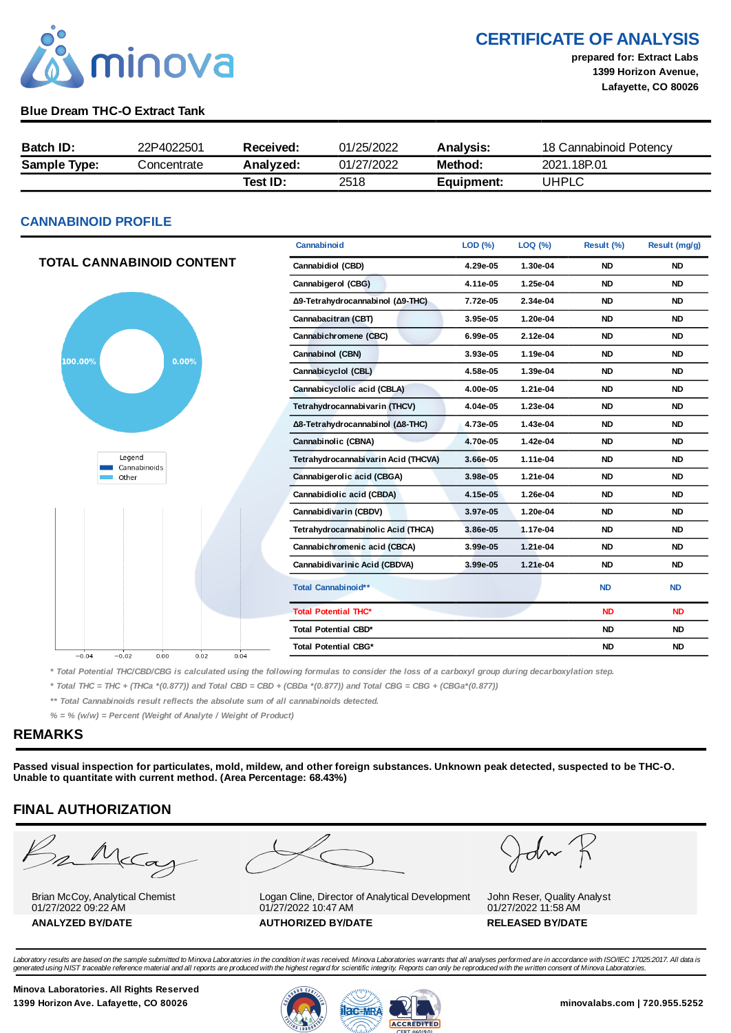

CERTIFICATE OF ANALYSIS

prepared for: Extract Labs 1399 Horizon Avenue, Lafayette, CO 80026

### Blue Dream THC-O Extract Tank

| <b>Batch ID:</b>    | 22P4022501  | Received: | 01/25/2022 | <b>Analysis:</b> | 18 Cannabinoid Potency |
|---------------------|-------------|-----------|------------|------------------|------------------------|
| <b>Sample Type:</b> | Concentrate | Analyzed: | 01/27/2022 | Method:          | 2021.18P.01            |
|                     |             | Test ID:  | 2518       | Equipment:       | UHPLC                  |

### CANNABINOID PROFILE

|                                            | Cannabinoid                         | LOD (%)  | LOQ (%)  | Result (%) | Result (mg/g) |
|--------------------------------------------|-------------------------------------|----------|----------|------------|---------------|
| TOTAL CANNABINOID CONTENT                  | Cannabidiol (CBD)                   | 4.29e-05 | 1.30e-04 | <b>ND</b>  | <b>ND</b>     |
|                                            | Cannabigerol (CBG)                  | 4.11e-05 | 1.25e-04 | <b>ND</b>  | <b>ND</b>     |
|                                            | Δ9-Tetrahydrocannabinol (Δ9-THC)    | 7.72e-05 | 2.34e-04 | <b>ND</b>  | <b>ND</b>     |
|                                            | Cannabacitran (CBT)                 | 3.95e-05 | 1.20e-04 | <b>ND</b>  | <b>ND</b>     |
|                                            | Cannabichromene (CBC)               | 6.99e-05 | 2.12e-04 | <b>ND</b>  | <b>ND</b>     |
| 0.00%<br>100.00%                           | Cannabinol (CBN)                    | 3.93e-05 | 1.19e-04 | <b>ND</b>  | <b>ND</b>     |
|                                            | Cannabicyclol (CBL)                 | 4.58e-05 | 1.39e-04 | <b>ND</b>  | <b>ND</b>     |
|                                            | Cannabicyclolic acid (CBLA)         | 4.00e-05 | 1.21e-04 | <b>ND</b>  | <b>ND</b>     |
|                                            | Tetrahydrocannabivarin (THCV)       | 4.04e-05 | 1.23e-04 | <b>ND</b>  | <b>ND</b>     |
|                                            | Δ8-Tetrahydrocannabinol (Δ8-THC)    | 4.73e-05 | 1.43e-04 | <b>ND</b>  | <b>ND</b>     |
|                                            | Cannabinolic (CBNA)                 | 4.70e-05 | 1.42e-04 | <b>ND</b>  | <b>ND</b>     |
| Legend<br>Cannabinoids                     | Tetrahydrocannabivarin Acid (THCVA) | 3.66e-05 | 1.11e-04 | <b>ND</b>  | <b>ND</b>     |
| Other                                      | Cannabigerolic acid (CBGA)          | 3.98e-05 | 1.21e-04 | <b>ND</b>  | <b>ND</b>     |
|                                            | Cannabidiolic acid (CBDA)           | 4.15e-05 | 1.26e-04 | <b>ND</b>  | <b>ND</b>     |
|                                            | Cannabidivarin (CBDV)               | 3.97e-05 | 1.20e-04 | <b>ND</b>  | <b>ND</b>     |
|                                            | Tetrahydrocannabinolic Acid (THCA)  | 3.86e-05 | 1.17e-04 | <b>ND</b>  | <b>ND</b>     |
|                                            | Cannabichromenic acid (CBCA)        | 3.99e-05 | 1.21e-04 | <b>ND</b>  | <b>ND</b>     |
|                                            | Cannabidivarinic Acid (CBDVA)       | 3.99e-05 | 1.21e-04 | <b>ND</b>  | <b>ND</b>     |
|                                            | Total Cannabinoid**                 |          |          | <b>ND</b>  | <b>ND</b>     |
|                                            | <b>Total Potential THC*</b>         |          |          | <b>ND</b>  | <b>ND</b>     |
|                                            | <b>Total Potential CBD*</b>         |          |          | <b>ND</b>  | <b>ND</b>     |
| $-0.04$<br>$-0.02$<br>0.00<br>0.02<br>0.04 | <b>Total Potential CBG*</b>         |          |          | <b>ND</b>  | <b>ND</b>     |
|                                            |                                     |          |          |            |               |

\* Total Potential THC/CBD/CBG is calculated using the following formulas to consider the loss of a carboxyl group during decarboxylation step.

\* Total THC = THC + (THCa \*(0.877)) and Total CBD = CBD + (CBDa \*(0.877)) and Total CBG = CBG + (CBGa\*(0.877))

\*\* Total Cannabinoids result reflects the absolute sum of all cannabinoids detected.

 $% =$  % (w/w) = Percent (Weight of Analyte / Weight of Product)

### REMARKS

Passed visual inspection for particulates, mold, mildew, and other foreign substances. Unknown peak detected, suspected to be THC-O. Unable to quantitate with current method. (Area Percentage: 68.43%)

### FINAL AUTHORIZATION

2 Mc

Brian McCoy, Analytical Chemist 01/27/2022 09:22 AM







John Reser, Quality Analyst 01/27/2022 11:58 AM

Laboratory results are based on the sample submitted to Minova Laboratories in the condition it was received. Minova Laboratories warrants that all analyses performed are in accordance with ISO/IEC 17025:2017. All data is<br>

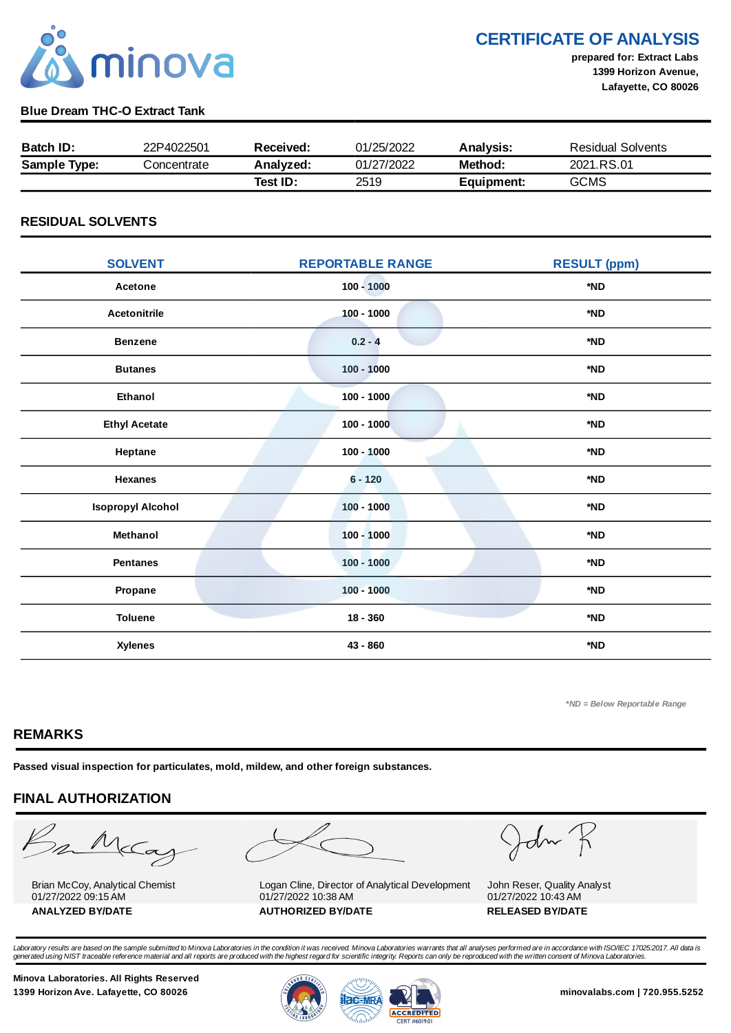

CERTIFICATE OF ANALYSIS

prepared for: Extract Labs 1399 Horizon Avenue, Lafayette, CO 80026

### Blue Dream THC-O Extract Tank

| <b>Batch ID:</b>    | 22P4022501  | Received: | 01/25/2022 | <b>Analysis:</b> | <b>Residual Solvents</b> |
|---------------------|-------------|-----------|------------|------------------|--------------------------|
| <b>Sample Type:</b> | Concentrate | Analyzed: | 01/27/2022 | Method:          | 2021.RS.01               |
|                     |             | Test ID:  | 2519       | Equipment:       | <b>GCMS</b>              |

### RESIDUAL SOLVENTS

| <b>SOLVENT</b>           | <b>REPORTABLE RANGE</b> | <b>RESULT (ppm)</b> |  |
|--------------------------|-------------------------|---------------------|--|
| Acetone                  | $100 - 1000$            | *ND                 |  |
| <b>Acetonitrile</b>      | $100 - 1000$            | *ND                 |  |
| <b>Benzene</b>           | $0.2 - 4$               | *ND                 |  |
| <b>Butanes</b>           | $100 - 1000$            | *ND                 |  |
| Ethanol                  | $100 - 1000$            | *ND                 |  |
| <b>Ethyl Acetate</b>     | $100 - 1000$            | *ND                 |  |
| Heptane                  | $100 - 1000$            | *ND                 |  |
| <b>Hexanes</b>           | $6 - 120$               | *ND                 |  |
| <b>Isopropyl Alcohol</b> | $100 - 1000$            | *ND                 |  |
| Methanol                 | $100 - 1000$            | *ND                 |  |
| <b>Pentanes</b>          | $100 - 1000$            | *ND                 |  |
| Propane                  | $100 - 1000$            | *ND                 |  |
| <b>Toluene</b>           | $18 - 360$              | *ND                 |  |
| <b>Xylenes</b>           | 43 - 860                | *ND                 |  |

\*ND = Below Reportable Range

### REMARKS

Passed visual inspection for particulates, mold, mildew, and other foreign substances.

# FINAL AUTHORIZATION

mMcCa

Brian McCoy, Analytical Chemist 01/27/2022 09:15 AM



Logan Cline, Director of Analytical Development 01/27/2022 10:38 AM ANALYZED BY/DATE AUTHORIZED BY/DATE AUTHORIZED BY/DATE

John

John Reser, Quality Analyst 01/27/2022 10:43 AM

Laboratory results are based on the sample submitted to Minova Laboratories in the condition it was received. Minova Laboratories warrants that all analyses performed are in accordance with ISO/IEC 17025:2017. All data is<br>

Minova Laboratories. All Rights Reserved